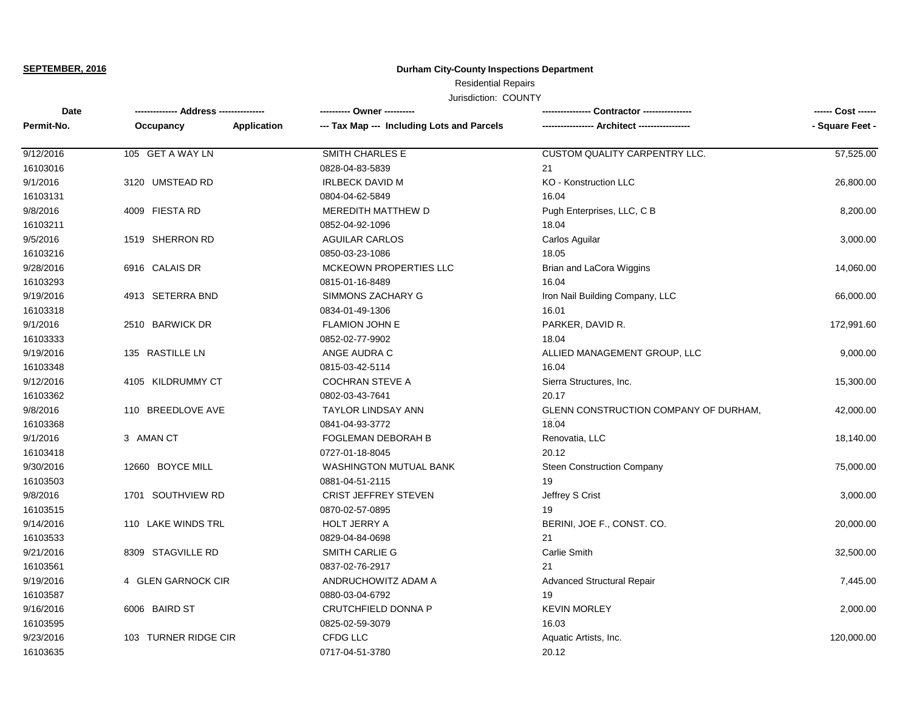**SEPTEMBER, 2016**

## **Durham City-County Inspections Department**

## Residential Repairs

Jurisdiction: COUNTY

| Date<br>Permit-No. | -------------- Address --------------- |             | ---------- Owner ----------                |                                       |                 |
|--------------------|----------------------------------------|-------------|--------------------------------------------|---------------------------------------|-----------------|
|                    | Occupancy                              | Application | --- Tax Map --- Including Lots and Parcels |                                       | - Square Feet - |
| 9/12/2016          | 105 GET A WAY LN                       |             | <b>SMITH CHARLES E</b>                     | <b>CUSTOM QUALITY CARPENTRY LLC.</b>  | 57,525.00       |
| 16103016           |                                        |             | 0828-04-83-5839                            | 21                                    |                 |
| 9/1/2016           | 3120 UMSTEAD RD                        |             | <b>IRLBECK DAVID M</b>                     | KO - Konstruction LLC                 | 26,800.00       |
| 16103131           |                                        |             | 0804-04-62-5849                            | 16.04                                 |                 |
| 9/8/2016           | 4009 FIESTA RD                         |             | <b>MEREDITH MATTHEW D</b>                  | Pugh Enterprises, LLC, C B            | 8,200.00        |
| 16103211           |                                        |             | 0852-04-92-1096                            | 18.04                                 |                 |
| 9/5/2016           | 1519 SHERRON RD                        |             | <b>AGUILAR CARLOS</b>                      | Carlos Aguilar                        | 3,000.00        |
| 16103216           |                                        |             | 0850-03-23-1086                            | 18.05                                 |                 |
| 9/28/2016          | 6916 CALAIS DR                         |             | MCKEOWN PROPERTIES LLC                     | Brian and LaCora Wiggins              | 14,060.00       |
| 16103293           |                                        |             | 0815-01-16-8489                            | 16.04                                 |                 |
| 9/19/2016          | 4913 SETERRA BND                       |             | SIMMONS ZACHARY G                          | Iron Nail Building Company, LLC       | 66,000.00       |
| 16103318           |                                        |             | 0834-01-49-1306                            | 16.01                                 |                 |
| 9/1/2016           | 2510 BARWICK DR                        |             | <b>FLAMION JOHN E</b>                      | PARKER, DAVID R.                      | 172,991.60      |
| 16103333           |                                        |             | 0852-02-77-9902                            | 18.04                                 |                 |
| 9/19/2016          | 135 RASTILLE LN                        |             | ANGE AUDRA C                               | ALLIED MANAGEMENT GROUP, LLC          | 9,000.00        |
| 16103348           |                                        |             | 0815-03-42-5114                            | 16.04                                 |                 |
| 9/12/2016          | 4105 KILDRUMMY CT                      |             | <b>COCHRAN STEVE A</b>                     | Sierra Structures, Inc.               | 15,300.00       |
| 16103362           |                                        |             | 0802-03-43-7641                            | 20.17                                 |                 |
| 9/8/2016           | 110 BREEDLOVE AVE                      |             | <b>TAYLOR LINDSAY ANN</b>                  | GLENN CONSTRUCTION COMPANY OF DURHAM, | 42,000.00       |
| 16103368           |                                        |             | 0841-04-93-3772                            | 18.04                                 |                 |
| 9/1/2016           | 3 AMAN CT                              |             | FOGLEMAN DEBORAH B                         | Renovatia, LLC                        | 18,140.00       |
| 16103418           |                                        |             | 0727-01-18-8045                            | 20.12                                 |                 |
| 9/30/2016          | 12660 BOYCE MILL                       |             | <b>WASHINGTON MUTUAL BANK</b>              | <b>Steen Construction Company</b>     | 75,000.00       |
| 16103503           |                                        |             | 0881-04-51-2115                            | 19                                    |                 |
| 9/8/2016           | 1701 SOUTHVIEW RD                      |             | <b>CRIST JEFFREY STEVEN</b>                | Jeffrey S Crist                       | 3,000.00        |
| 16103515           |                                        |             | 0870-02-57-0895                            | 19                                    |                 |
| 9/14/2016          | 110 LAKE WINDS TRL                     |             | <b>HOLT JERRY A</b>                        | BERINI, JOE F., CONST. CO.            | 20,000.00       |
| 16103533           |                                        |             | 0829-04-84-0698                            | 21                                    |                 |
| 9/21/2016          | 8309 STAGVILLE RD                      |             | <b>SMITH CARLIE G</b>                      | Carlie Smith                          | 32,500.00       |
| 16103561           |                                        |             | 0837-02-76-2917                            | 21                                    |                 |
| 9/19/2016          | 4 GLEN GARNOCK CIR                     |             | ANDRUCHOWITZ ADAM A                        | <b>Advanced Structural Repair</b>     | 7,445.00        |
| 16103587           |                                        |             | 0880-03-04-6792                            | 19                                    |                 |
| 9/16/2016          | 6006 BAIRD ST                          |             | CRUTCHFIELD DONNA P                        | <b>KEVIN MORLEY</b>                   | 2,000.00        |
| 16103595           |                                        |             | 0825-02-59-3079                            | 16.03                                 |                 |
| 9/23/2016          | 103 TURNER RIDGE CIR                   |             | CFDG LLC                                   | Aquatic Artists, Inc.                 | 120,000.00      |
| 16103635           |                                        |             | 0717-04-51-3780                            | 20.12                                 |                 |